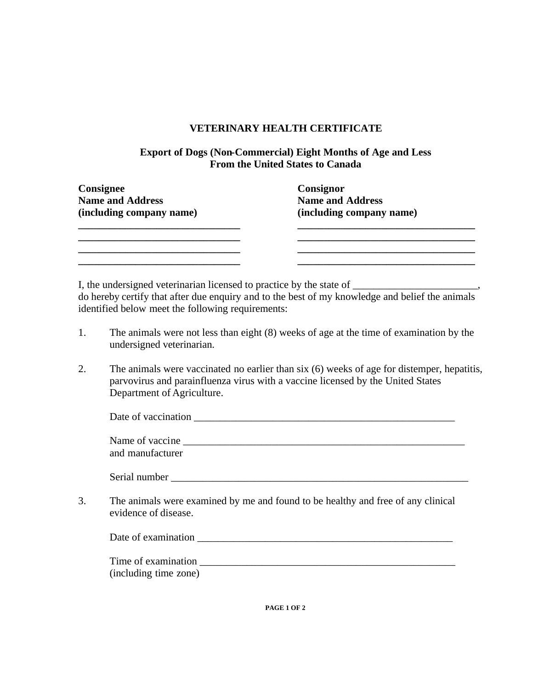## **VETERINARY HEALTH CERTIFICATE**

## **Export of Dogs (Non-Commercial) Eight Months of Age and Less From the United States to Canada**

| Consignee                | Consignor                |
|--------------------------|--------------------------|
| <b>Name and Address</b>  | <b>Name and Address</b>  |
| (including company name) | (including company name) |
|                          |                          |
|                          |                          |
|                          |                          |
|                          |                          |

I, the undersigned veterinarian licensed to practice by the state of \_\_\_\_\_\_\_\_\_\_\_\_ do hereby certify that after due enquiry and to the best of my knowledge and belief the animals identified below meet the following requirements:

- 1. The animals were not less than eight (8) weeks of age at the time of examination by the undersigned veterinarian.
- 2. The animals were vaccinated no earlier than six (6) weeks of age for distemper, hepatitis, parvovirus and parainfluenza virus with a vaccine licensed by the United States Department of Agriculture.

| Date of vaccination                    |  |  |
|----------------------------------------|--|--|
|                                        |  |  |
| $\mathbf{M}$ $\mathbf{C}$ $\mathbf{C}$ |  |  |

| Name of vaccine  |  |  |
|------------------|--|--|
| and manufacturer |  |  |

Serial number  $\Box$ 

3. The animals were examined by me and found to be healthy and free of any clinical evidence of disease.

| Time of examination<br>(including time zone) |  |
|----------------------------------------------|--|

**PAGE 1 OF 2**